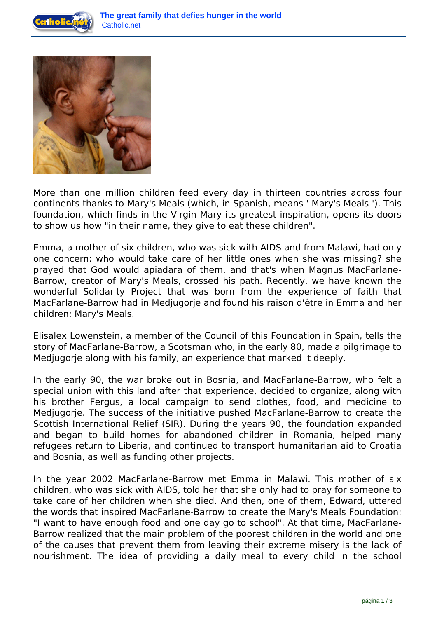



More than one million children feed every day in thirteen countries across four continents thanks to Mary's Meals (which, in Spanish, means ' Mary's Meals '). This foundation, which finds in the Virgin Mary its greatest inspiration, opens its doors to show us how "in their name, they give to eat these children".

Emma, a mother of six children, who was sick with AIDS and from Malawi, had only one concern: who would take care of her little ones when she was missing? she prayed that God would apiadara of them, and that's when Magnus MacFarlane-Barrow, creator of Mary's Meals, crossed his path. Recently, we have known the wonderful Solidarity Project that was born from the experience of faith that MacFarlane-Barrow had in Medjugorje and found his raison d'être in Emma and her children: Mary's Meals.

Elisalex Lowenstein, a member of the Council of this Foundation in Spain, tells the story of MacFarlane-Barrow, a Scotsman who, in the early 80, made a pilgrimage to Medjugorje along with his family, an experience that marked it deeply.

In the early 90, the war broke out in Bosnia, and MacFarlane-Barrow, who felt a special union with this land after that experience, decided to organize, along with his brother Fergus, a local campaign to send clothes, food, and medicine to Medjugorje. The success of the initiative pushed MacFarlane-Barrow to create the Scottish International Relief (SIR). During the years 90, the foundation expanded and began to build homes for abandoned children in Romania, helped many refugees return to Liberia, and continued to transport humanitarian aid to Croatia and Bosnia, as well as funding other projects.

In the year 2002 MacFarlane-Barrow met Emma in Malawi. This mother of six children, who was sick with AIDS, told her that she only had to pray for someone to take care of her children when she died. And then, one of them, Edward, uttered the words that inspired MacFarlane-Barrow to create the Mary's Meals Foundation: "I want to have enough food and one day go to school". At that time, MacFarlane-Barrow realized that the main problem of the poorest children in the world and one of the causes that prevent them from leaving their extreme misery is the lack of nourishment. The idea of providing a daily meal to every child in the school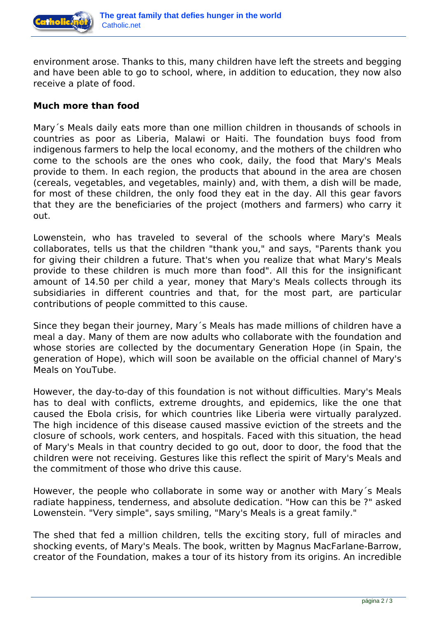

environment arose. Thanks to this, many children have left the streets and begging and have been able to go to school, where, in addition to education, they now also receive a plate of food.

## **Much more than food**

Mary´s Meals daily eats more than one million children in thousands of schools in countries as poor as Liberia, Malawi or Haiti. The foundation buys food from indigenous farmers to help the local economy, and the mothers of the children who come to the schools are the ones who cook, daily, the food that Mary's Meals provide to them. In each region, the products that abound in the area are chosen (cereals, vegetables, and vegetables, mainly) and, with them, a dish will be made, for most of these children, the only food they eat in the day. All this gear favors that they are the beneficiaries of the project (mothers and farmers) who carry it out.

Lowenstein, who has traveled to several of the schools where Mary's Meals collaborates, tells us that the children "thank you," and says, "Parents thank you for giving their children a future. That's when you realize that what Mary's Meals provide to these children is much more than food". All this for the insignificant amount of 14.50 per child a year, money that Mary's Meals collects through its subsidiaries in different countries and that, for the most part, are particular contributions of people committed to this cause.

Since they began their journey, Mary´s Meals has made millions of children have a meal a day. Many of them are now adults who collaborate with the foundation and whose stories are collected by the documentary Generation Hope (in Spain, the generation of Hope), which will soon be available on the official channel of Mary's Meals on YouTube.

However, the day-to-day of this foundation is not without difficulties. Mary's Meals has to deal with conflicts, extreme droughts, and epidemics, like the one that caused the Ebola crisis, for which countries like Liberia were virtually paralyzed. The high incidence of this disease caused massive eviction of the streets and the closure of schools, work centers, and hospitals. Faced with this situation, the head of Mary's Meals in that country decided to go out, door to door, the food that the children were not receiving. Gestures like this reflect the spirit of Mary's Meals and the commitment of those who drive this cause.

However, the people who collaborate in some way or another with Mary´s Meals radiate happiness, tenderness, and absolute dedication. "How can this be ?" asked Lowenstein. "Very simple", says smiling, "Mary's Meals is a great family."

The shed that fed a million children, tells the exciting story, full of miracles and shocking events, of Mary's Meals. The book, written by Magnus MacFarlane-Barrow, creator of the Foundation, makes a tour of its history from its origins. An incredible